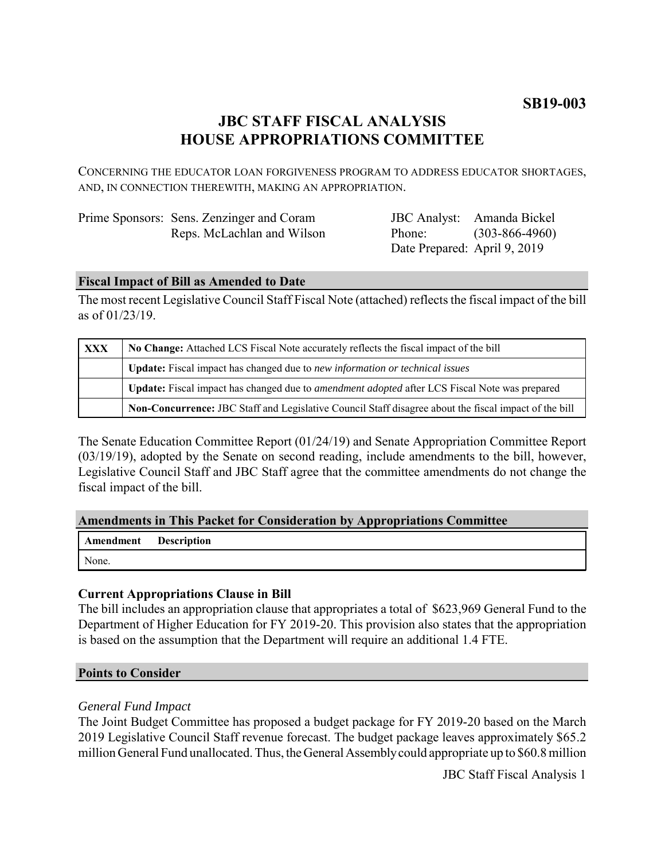# **JBC STAFF FISCAL ANALYSIS HOUSE APPROPRIATIONS COMMITTEE**

CONCERNING THE EDUCATOR LOAN FORGIVENESS PROGRAM TO ADDRESS EDUCATOR SHORTAGES, AND, IN CONNECTION THEREWITH, MAKING AN APPROPRIATION.

| Prime Sponsors: Sens. Zenzinger and Coram |
|-------------------------------------------|
| Reps. McLachlan and Wilson                |

JBC Analyst: Amanda Bickel Phone: Date Prepared: April 9, 2019 (303-866-4960)

### **Fiscal Impact of Bill as Amended to Date**

The most recent Legislative Council Staff Fiscal Note (attached) reflects the fiscal impact of the bill as of 01/23/19.

| <b>XXX</b> | No Change: Attached LCS Fiscal Note accurately reflects the fiscal impact of the bill                 |  |
|------------|-------------------------------------------------------------------------------------------------------|--|
|            | <b>Update:</b> Fiscal impact has changed due to new information or technical issues                   |  |
|            | Update: Fiscal impact has changed due to <i>amendment adopted</i> after LCS Fiscal Note was prepared  |  |
|            | Non-Concurrence: JBC Staff and Legislative Council Staff disagree about the fiscal impact of the bill |  |

The Senate Education Committee Report (01/24/19) and Senate Appropriation Committee Report (03/19/19), adopted by the Senate on second reading, include amendments to the bill, however, Legislative Council Staff and JBC Staff agree that the committee amendments do not change the fiscal impact of the bill.

#### **Amendments in This Packet for Consideration by Appropriations Committee**

| <b>Amendment</b> Description |  |
|------------------------------|--|
| None.                        |  |

## **Current Appropriations Clause in Bill**

The bill includes an appropriation clause that appropriates a total of \$623,969 General Fund to the Department of Higher Education for FY 2019-20. This provision also states that the appropriation is based on the assumption that the Department will require an additional 1.4 FTE.

#### **Points to Consider**

#### *General Fund Impact*

The Joint Budget Committee has proposed a budget package for FY 2019-20 based on the March 2019 Legislative Council Staff revenue forecast. The budget package leaves approximately \$65.2 million General Fund unallocated. Thus, the General Assembly could appropriate up to \$60.8 million